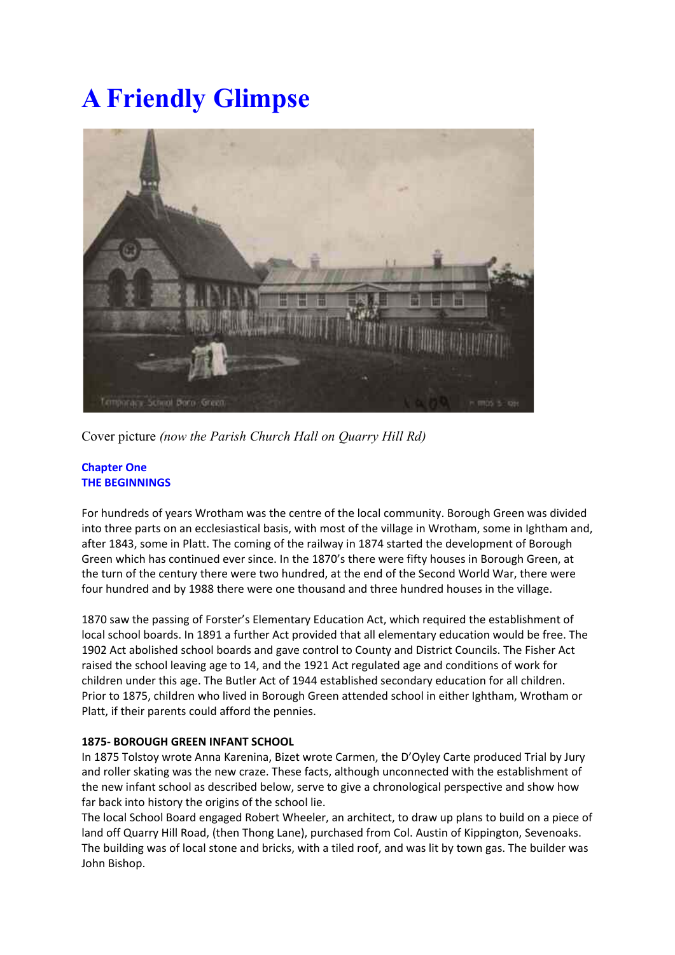# **A Friendly Glimpse**



Cover picture *(now the Parish Church Hall on Quarry Hill Rd)*

## **Chapter One THE BEGINNINGS**

For hundreds of years Wrotham was the centre of the local community. Borough Green was divided into three parts on an ecclesiastical basis, with most of the village in Wrotham, some in Ightham and, after 1843, some in Platt. The coming of the railway in 1874 started the development of Borough Green which has continued ever since. In the 1870's there were fifty houses in Borough Green, at the turn of the century there were two hundred, at the end of the Second World War, there were four hundred and by 1988 there were one thousand and three hundred houses in the village.

1870 saw the passing of Forster's Elementary Education Act, which required the establishment of local school boards. In 1891 a further Act provided that all elementary education would be free. The 1902 Act abolished school boards and gave control to County and District Councils. The Fisher Act raised the school leaving age to 14, and the 1921 Act regulated age and conditions of work for children under this age. The Butler Act of 1944 established secondary education for all children. Prior to 1875, children who lived in Borough Green attended school in either Ightham, Wrotham or Platt, if their parents could afford the pennies.

## **1875- BOROUGH GREEN INFANT SCHOOL**

In 1875 Tolstoy wrote Anna Karenina, Bizet wrote Carmen, the D'Oyley Carte produced Trial by Jury and roller skating was the new craze. These facts, although unconnected with the establishment of the new infant school as described below, serve to give a chronological perspective and show how far back into history the origins of the school lie.

The local School Board engaged Robert Wheeler, an architect, to draw up plans to build on a piece of land off Quarry Hill Road, (then Thong Lane), purchased from Col. Austin of Kippington, Sevenoaks. The building was of local stone and bricks, with a tiled roof, and was lit by town gas. The builder was John Bishop.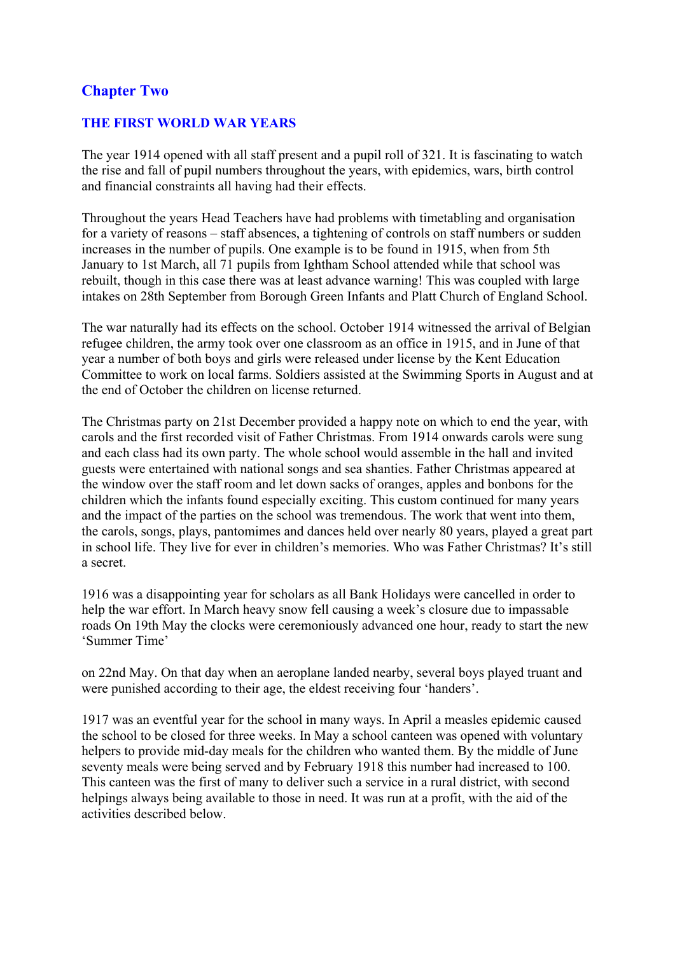# **Chapter Two**

# **THE FIRST WORLD WAR YEARS**

The year 1914 opened with all staff present and a pupil roll of 321. It is fascinating to watch the rise and fall of pupil numbers throughout the years, with epidemics, wars, birth control and financial constraints all having had their effects.

Throughout the years Head Teachers have had problems with timetabling and organisation for a variety of reasons – staff absences, a tightening of controls on staff numbers or sudden increases in the number of pupils. One example is to be found in 1915, when from 5th January to 1st March, all 71 pupils from Ightham School attended while that school was rebuilt, though in this case there was at least advance warning! This was coupled with large intakes on 28th September from Borough Green Infants and Platt Church of England School.

The war naturally had its effects on the school. October 1914 witnessed the arrival of Belgian refugee children, the army took over one classroom as an office in 1915, and in June of that year a number of both boys and girls were released under license by the Kent Education Committee to work on local farms. Soldiers assisted at the Swimming Sports in August and at the end of October the children on license returned.

The Christmas party on 21st December provided a happy note on which to end the year, with carols and the first recorded visit of Father Christmas. From 1914 onwards carols were sung and each class had its own party. The whole school would assemble in the hall and invited guests were entertained with national songs and sea shanties. Father Christmas appeared at the window over the staff room and let down sacks of oranges, apples and bonbons for the children which the infants found especially exciting. This custom continued for many years and the impact of the parties on the school was tremendous. The work that went into them, the carols, songs, plays, pantomimes and dances held over nearly 80 years, played a great part in school life. They live for ever in children's memories. Who was Father Christmas? It's still a secret.

1916 was a disappointing year for scholars as all Bank Holidays were cancelled in order to help the war effort. In March heavy snow fell causing a week's closure due to impassable roads On 19th May the clocks were ceremoniously advanced one hour, ready to start the new 'Summer Time'

on 22nd May. On that day when an aeroplane landed nearby, several boys played truant and were punished according to their age, the eldest receiving four 'handers'.

1917 was an eventful year for the school in many ways. In April a measles epidemic caused the school to be closed for three weeks. In May a school canteen was opened with voluntary helpers to provide mid-day meals for the children who wanted them. By the middle of June seventy meals were being served and by February 1918 this number had increased to 100. This canteen was the first of many to deliver such a service in a rural district, with second helpings always being available to those in need. It was run at a profit, with the aid of the activities described below.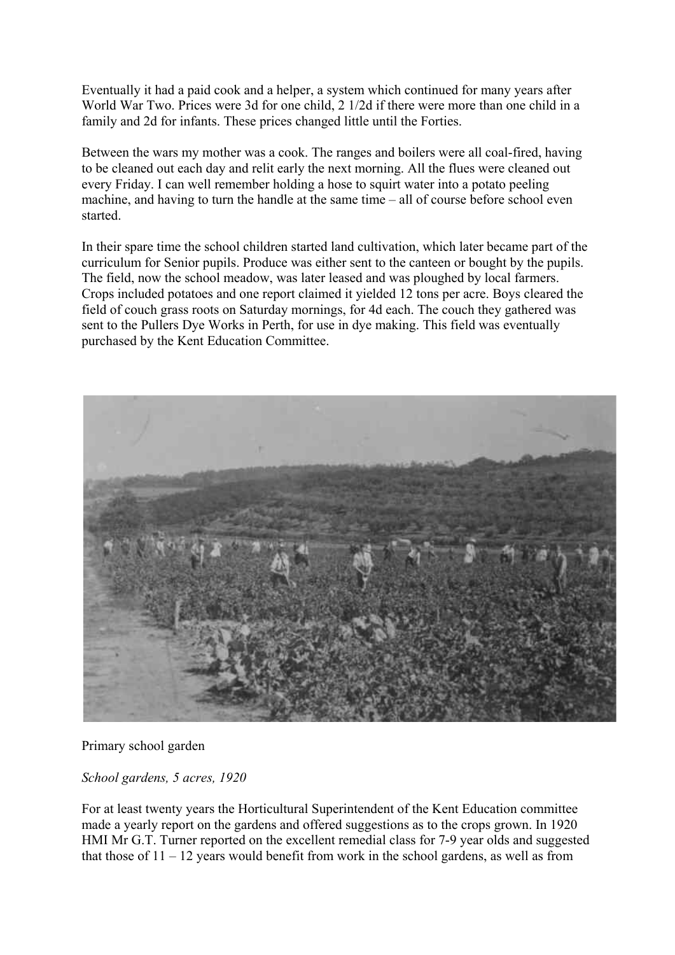Eventually it had a paid cook and a helper, a system which continued for many years after World War Two. Prices were 3d for one child, 2 1/2d if there were more than one child in a family and 2d for infants. These prices changed little until the Forties.

Between the wars my mother was a cook. The ranges and boilers were all coal-fired, having to be cleaned out each day and relit early the next morning. All the flues were cleaned out every Friday. I can well remember holding a hose to squirt water into a potato peeling machine, and having to turn the handle at the same time – all of course before school even started.

In their spare time the school children started land cultivation, which later became part of the curriculum for Senior pupils. Produce was either sent to the canteen or bought by the pupils. The field, now the school meadow, was later leased and was ploughed by local farmers. Crops included potatoes and one report claimed it yielded 12 tons per acre. Boys cleared the field of couch grass roots on Saturday mornings, for 4d each. The couch they gathered was sent to the Pullers Dye Works in Perth, for use in dye making. This field was eventually purchased by the Kent Education Committee.



Primary school garden

*School gardens, 5 acres, 1920*

For at least twenty years the Horticultural Superintendent of the Kent Education committee made a yearly report on the gardens and offered suggestions as to the crops grown. In 1920 HMI Mr G.T. Turner reported on the excellent remedial class for 7-9 year olds and suggested that those of  $11 - 12$  years would benefit from work in the school gardens, as well as from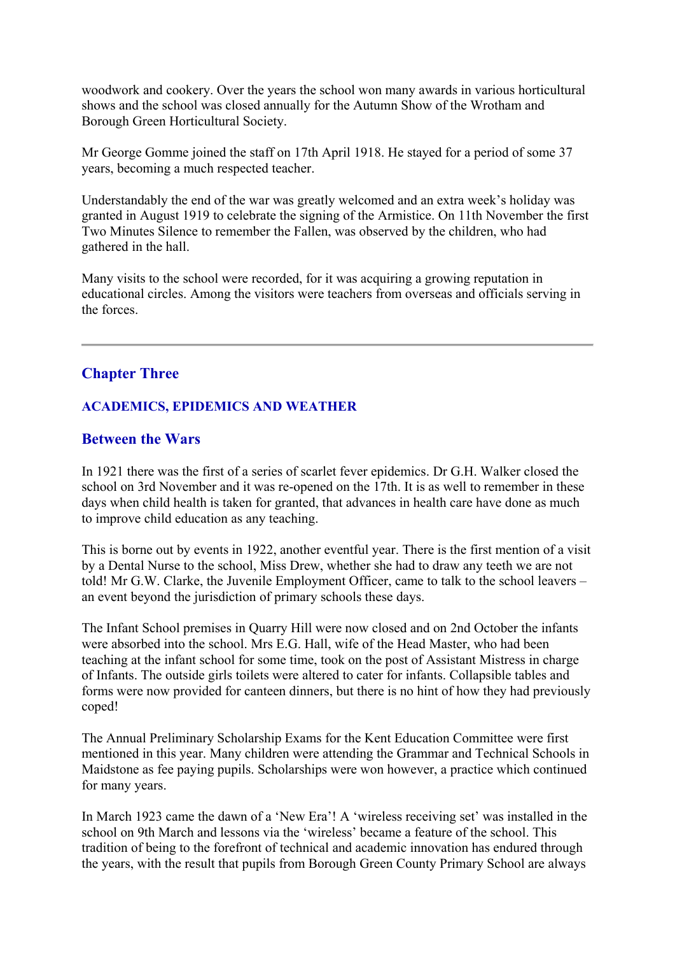woodwork and cookery. Over the years the school won many awards in various horticultural shows and the school was closed annually for the Autumn Show of the Wrotham and Borough Green Horticultural Society.

Mr George Gomme joined the staff on 17th April 1918. He stayed for a period of some 37 years, becoming a much respected teacher.

Understandably the end of the war was greatly welcomed and an extra week's holiday was granted in August 1919 to celebrate the signing of the Armistice. On 11th November the first Two Minutes Silence to remember the Fallen, was observed by the children, who had gathered in the hall.

Many visits to the school were recorded, for it was acquiring a growing reputation in educational circles. Among the visitors were teachers from overseas and officials serving in the forces.

# **Chapter Three**

## **ACADEMICS, EPIDEMICS AND WEATHER**

# **Between the Wars**

In 1921 there was the first of a series of scarlet fever epidemics. Dr G.H. Walker closed the school on 3rd November and it was re-opened on the 17th. It is as well to remember in these days when child health is taken for granted, that advances in health care have done as much to improve child education as any teaching.

This is borne out by events in 1922, another eventful year. There is the first mention of a visit by a Dental Nurse to the school, Miss Drew, whether she had to draw any teeth we are not told! Mr G.W. Clarke, the Juvenile Employment Officer, came to talk to the school leavers – an event beyond the jurisdiction of primary schools these days.

The Infant School premises in Quarry Hill were now closed and on 2nd October the infants were absorbed into the school. Mrs E.G. Hall, wife of the Head Master, who had been teaching at the infant school for some time, took on the post of Assistant Mistress in charge of Infants. The outside girls toilets were altered to cater for infants. Collapsible tables and forms were now provided for canteen dinners, but there is no hint of how they had previously coped!

The Annual Preliminary Scholarship Exams for the Kent Education Committee were first mentioned in this year. Many children were attending the Grammar and Technical Schools in Maidstone as fee paying pupils. Scholarships were won however, a practice which continued for many years.

In March 1923 came the dawn of a 'New Era'! A 'wireless receiving set' was installed in the school on 9th March and lessons via the 'wireless' became a feature of the school. This tradition of being to the forefront of technical and academic innovation has endured through the years, with the result that pupils from Borough Green County Primary School are always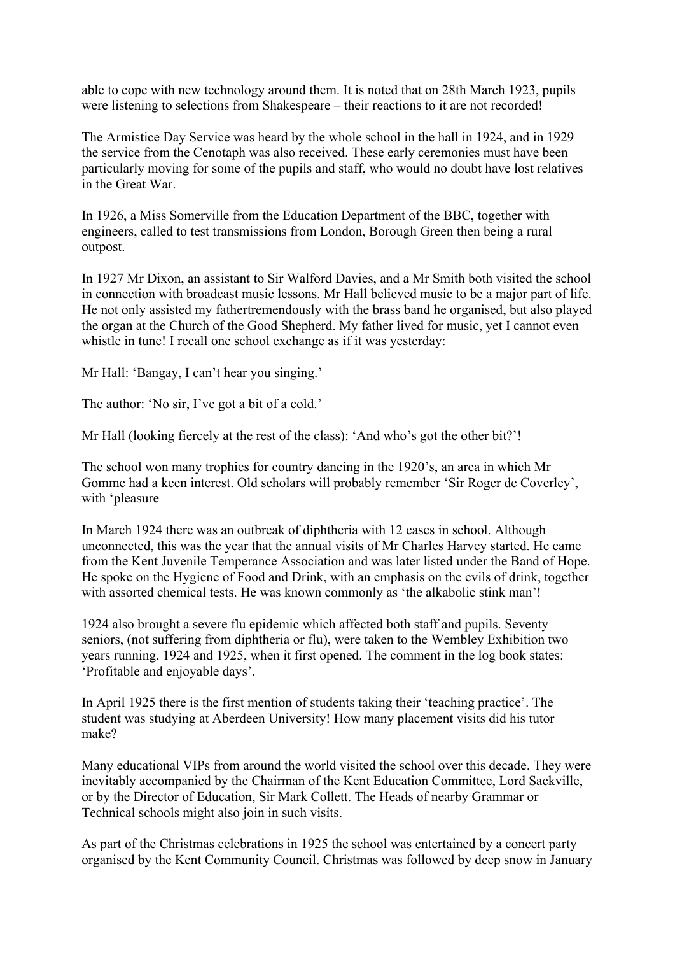able to cope with new technology around them. It is noted that on 28th March 1923, pupils were listening to selections from Shakespeare – their reactions to it are not recorded!

The Armistice Day Service was heard by the whole school in the hall in 1924, and in 1929 the service from the Cenotaph was also received. These early ceremonies must have been particularly moving for some of the pupils and staff, who would no doubt have lost relatives in the Great War.

In 1926, a Miss Somerville from the Education Department of the BBC, together with engineers, called to test transmissions from London, Borough Green then being a rural outpost.

In 1927 Mr Dixon, an assistant to Sir Walford Davies, and a Mr Smith both visited the school in connection with broadcast music lessons. Mr Hall believed music to be a major part of life. He not only assisted my fathertremendously with the brass band he organised, but also played the organ at the Church of the Good Shepherd. My father lived for music, yet I cannot even whistle in tune! I recall one school exchange as if it was yesterday:

Mr Hall: 'Bangay, I can't hear you singing.'

The author: 'No sir, I've got a bit of a cold.'

Mr Hall (looking fiercely at the rest of the class): 'And who's got the other bit?'!

The school won many trophies for country dancing in the 1920's, an area in which Mr Gomme had a keen interest. Old scholars will probably remember 'Sir Roger de Coverley', with 'pleasure

In March 1924 there was an outbreak of diphtheria with 12 cases in school. Although unconnected, this was the year that the annual visits of Mr Charles Harvey started. He came from the Kent Juvenile Temperance Association and was later listed under the Band of Hope. He spoke on the Hygiene of Food and Drink, with an emphasis on the evils of drink, together with assorted chemical tests. He was known commonly as 'the alkabolic stink man'!

1924 also brought a severe flu epidemic which affected both staff and pupils. Seventy seniors, (not suffering from diphtheria or flu), were taken to the Wembley Exhibition two years running, 1924 and 1925, when it first opened. The comment in the log book states: 'Profitable and enjoyable days'.

In April 1925 there is the first mention of students taking their 'teaching practice'. The student was studying at Aberdeen University! How many placement visits did his tutor make?

Many educational VIPs from around the world visited the school over this decade. They were inevitably accompanied by the Chairman of the Kent Education Committee, Lord Sackville, or by the Director of Education, Sir Mark Collett. The Heads of nearby Grammar or Technical schools might also join in such visits.

As part of the Christmas celebrations in 1925 the school was entertained by a concert party organised by the Kent Community Council. Christmas was followed by deep snow in January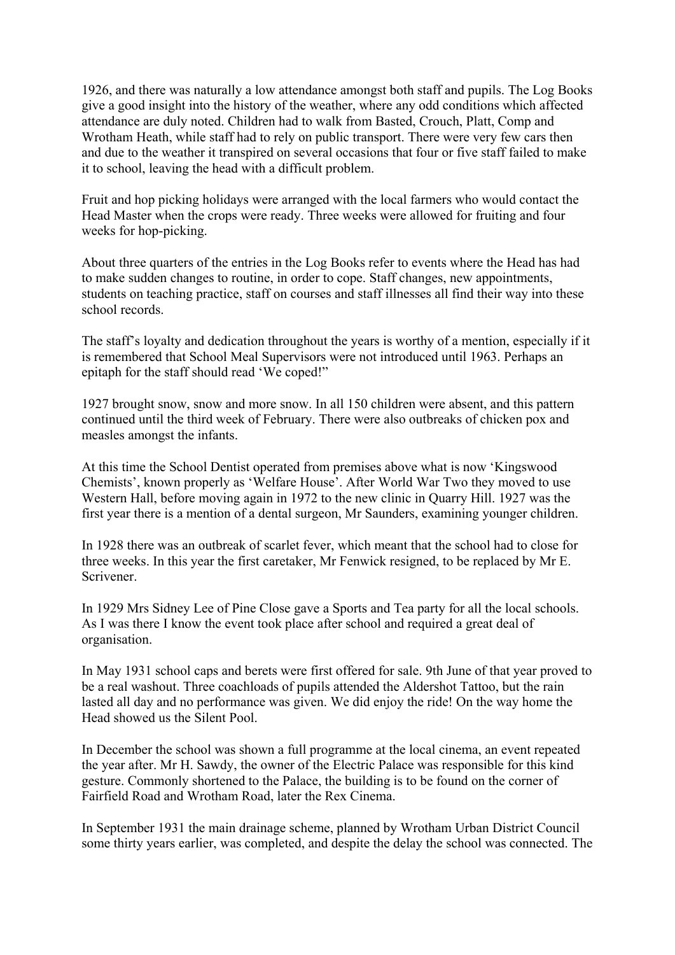1926, and there was naturally a low attendance amongst both staff and pupils. The Log Books give a good insight into the history of the weather, where any odd conditions which affected attendance are duly noted. Children had to walk from Basted, Crouch, Platt, Comp and Wrotham Heath, while staff had to rely on public transport. There were very few cars then and due to the weather it transpired on several occasions that four or five staff failed to make it to school, leaving the head with a difficult problem.

Fruit and hop picking holidays were arranged with the local farmers who would contact the Head Master when the crops were ready. Three weeks were allowed for fruiting and four weeks for hop-picking.

About three quarters of the entries in the Log Books refer to events where the Head has had to make sudden changes to routine, in order to cope. Staff changes, new appointments, students on teaching practice, staff on courses and staff illnesses all find their way into these school records.

The staff's loyalty and dedication throughout the years is worthy of a mention, especially if it is remembered that School Meal Supervisors were not introduced until 1963. Perhaps an epitaph for the staff should read 'We coped!"

1927 brought snow, snow and more snow. In all 150 children were absent, and this pattern continued until the third week of February. There were also outbreaks of chicken pox and measles amongst the infants.

At this time the School Dentist operated from premises above what is now 'Kingswood Chemists', known properly as 'Welfare House'. After World War Two they moved to use Western Hall, before moving again in 1972 to the new clinic in Quarry Hill. 1927 was the first year there is a mention of a dental surgeon, Mr Saunders, examining younger children.

In 1928 there was an outbreak of scarlet fever, which meant that the school had to close for three weeks. In this year the first caretaker, Mr Fenwick resigned, to be replaced by Mr E. Scrivener.

In 1929 Mrs Sidney Lee of Pine Close gave a Sports and Tea party for all the local schools. As I was there I know the event took place after school and required a great deal of organisation.

In May 1931 school caps and berets were first offered for sale. 9th June of that year proved to be a real washout. Three coachloads of pupils attended the Aldershot Tattoo, but the rain lasted all day and no performance was given. We did enjoy the ride! On the way home the Head showed us the Silent Pool.

In December the school was shown a full programme at the local cinema, an event repeated the year after. Mr H. Sawdy, the owner of the Electric Palace was responsible for this kind gesture. Commonly shortened to the Palace, the building is to be found on the corner of Fairfield Road and Wrotham Road, later the Rex Cinema.

In September 1931 the main drainage scheme, planned by Wrotham Urban District Council some thirty years earlier, was completed, and despite the delay the school was connected. The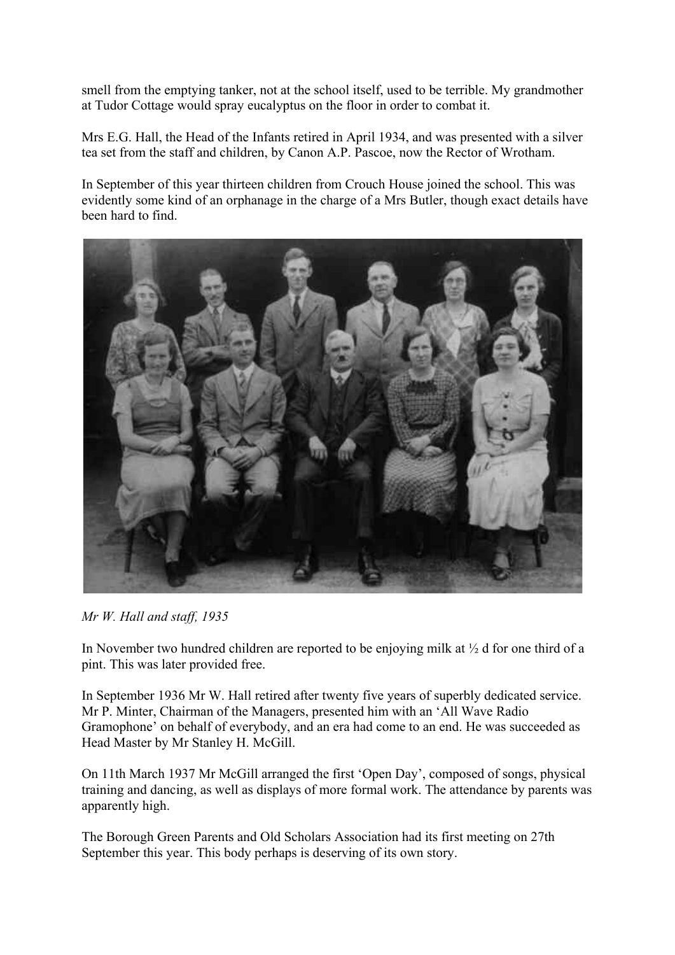smell from the emptying tanker, not at the school itself, used to be terrible. My grandmother at Tudor Cottage would spray eucalyptus on the floor in order to combat it.

Mrs E.G. Hall, the Head of the Infants retired in April 1934, and was presented with a silver tea set from the staff and children, by Canon A.P. Pascoe, now the Rector of Wrotham.

In September of this year thirteen children from Crouch House joined the school. This was evidently some kind of an orphanage in the charge of a Mrs Butler, though exact details have been hard to find.



*Mr W. Hall and staff, 1935* 

In November two hundred children are reported to be enjoying milk at  $\frac{1}{2}$  d for one third of a pint. This was later provided free.

In September 1936 Mr W. Hall retired after twenty five years of superbly dedicated service. Mr P. Minter, Chairman of the Managers, presented him with an 'All Wave Radio Gramophone' on behalf of everybody, and an era had come to an end. He was succeeded as Head Master by Mr Stanley H. McGill.

On 11th March 1937 Mr McGill arranged the first 'Open Day', composed of songs, physical training and dancing, as well as displays of more formal work. The attendance by parents was apparently high.

The Borough Green Parents and Old Scholars Association had its first meeting on 27th September this year. This body perhaps is deserving of its own story.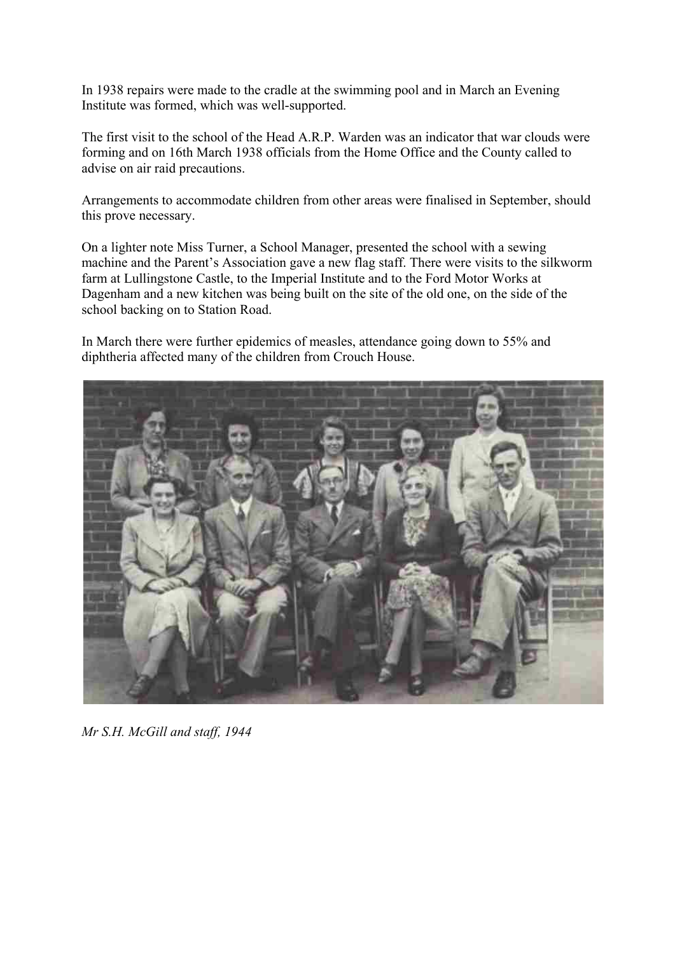In 1938 repairs were made to the cradle at the swimming pool and in March an Evening Institute was formed, which was well-supported.

The first visit to the school of the Head A.R.P. Warden was an indicator that war clouds were forming and on 16th March 1938 officials from the Home Office and the County called to advise on air raid precautions.

Arrangements to accommodate children from other areas were finalised in September, should this prove necessary.

On a lighter note Miss Turner, a School Manager, presented the school with a sewing machine and the Parent's Association gave a new flag staff. There were visits to the silkworm farm at Lullingstone Castle, to the Imperial Institute and to the Ford Motor Works at Dagenham and a new kitchen was being built on the site of the old one, on the side of the school backing on to Station Road.

In March there were further epidemics of measles, attendance going down to 55% and diphtheria affected many of the children from Crouch House.



*Mr S.H. McGill and staff, 1944*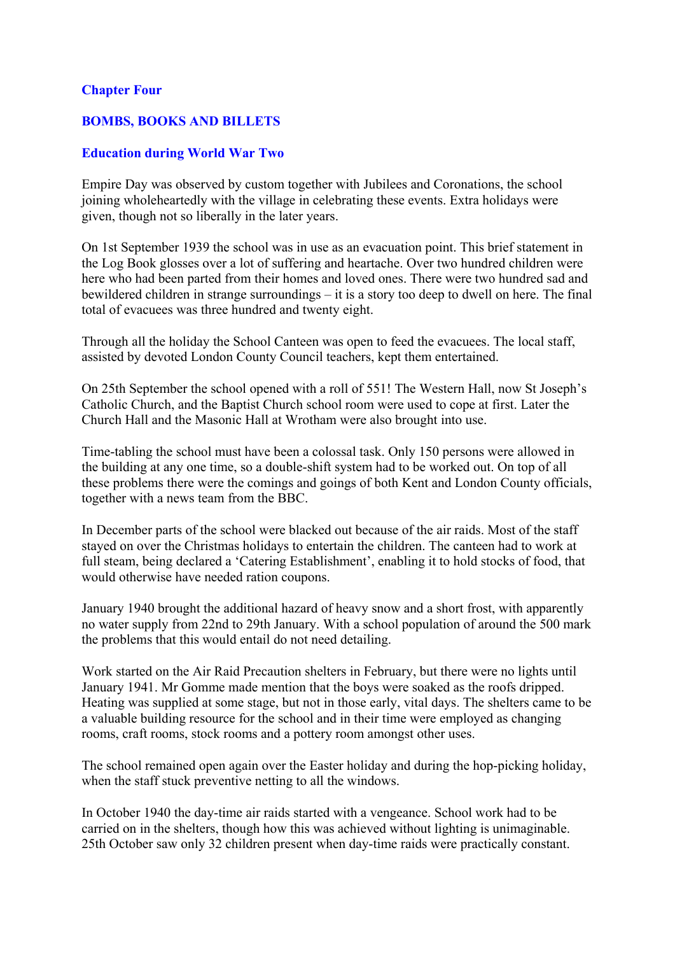## **Chapter Four**

## **BOMBS, BOOKS AND BILLETS**

# **Education during World War Two**

Empire Day was observed by custom together with Jubilees and Coronations, the school joining wholeheartedly with the village in celebrating these events. Extra holidays were given, though not so liberally in the later years.

On 1st September 1939 the school was in use as an evacuation point. This brief statement in the Log Book glosses over a lot of suffering and heartache. Over two hundred children were here who had been parted from their homes and loved ones. There were two hundred sad and bewildered children in strange surroundings – it is a story too deep to dwell on here. The final total of evacuees was three hundred and twenty eight.

Through all the holiday the School Canteen was open to feed the evacuees. The local staff, assisted by devoted London County Council teachers, kept them entertained.

On 25th September the school opened with a roll of 551! The Western Hall, now St Joseph's Catholic Church, and the Baptist Church school room were used to cope at first. Later the Church Hall and the Masonic Hall at Wrotham were also brought into use.

Time-tabling the school must have been a colossal task. Only 150 persons were allowed in the building at any one time, so a double-shift system had to be worked out. On top of all these problems there were the comings and goings of both Kent and London County officials, together with a news team from the BBC.

In December parts of the school were blacked out because of the air raids. Most of the staff stayed on over the Christmas holidays to entertain the children. The canteen had to work at full steam, being declared a 'Catering Establishment', enabling it to hold stocks of food, that would otherwise have needed ration coupons.

January 1940 brought the additional hazard of heavy snow and a short frost, with apparently no water supply from 22nd to 29th January. With a school population of around the 500 mark the problems that this would entail do not need detailing.

Work started on the Air Raid Precaution shelters in February, but there were no lights until January 1941. Mr Gomme made mention that the boys were soaked as the roofs dripped. Heating was supplied at some stage, but not in those early, vital days. The shelters came to be a valuable building resource for the school and in their time were employed as changing rooms, craft rooms, stock rooms and a pottery room amongst other uses.

The school remained open again over the Easter holiday and during the hop-picking holiday, when the staff stuck preventive netting to all the windows.

In October 1940 the day-time air raids started with a vengeance. School work had to be carried on in the shelters, though how this was achieved without lighting is unimaginable. 25th October saw only 32 children present when day-time raids were practically constant.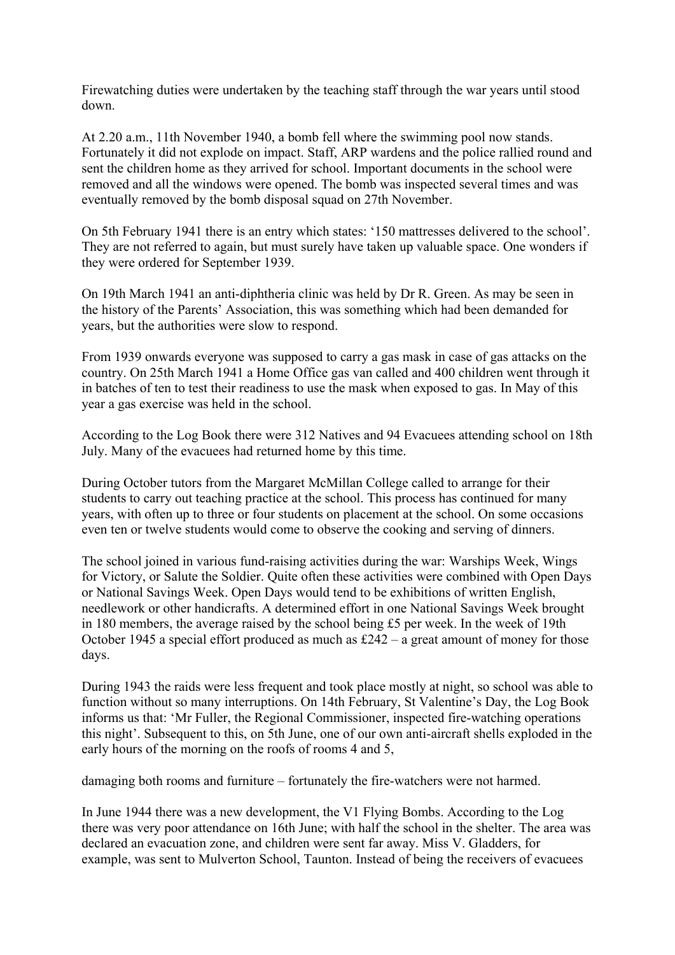Firewatching duties were undertaken by the teaching staff through the war years until stood down.

At 2.20 a.m., 11th November 1940, a bomb fell where the swimming pool now stands. Fortunately it did not explode on impact. Staff, ARP wardens and the police rallied round and sent the children home as they arrived for school. Important documents in the school were removed and all the windows were opened. The bomb was inspected several times and was eventually removed by the bomb disposal squad on 27th November.

On 5th February 1941 there is an entry which states: '150 mattresses delivered to the school'. They are not referred to again, but must surely have taken up valuable space. One wonders if they were ordered for September 1939.

On 19th March 1941 an anti-diphtheria clinic was held by Dr R. Green. As may be seen in the history of the Parents' Association, this was something which had been demanded for years, but the authorities were slow to respond.

From 1939 onwards everyone was supposed to carry a gas mask in case of gas attacks on the country. On 25th March 1941 a Home Office gas van called and 400 children went through it in batches of ten to test their readiness to use the mask when exposed to gas. In May of this year a gas exercise was held in the school.

According to the Log Book there were 312 Natives and 94 Evacuees attending school on 18th July. Many of the evacuees had returned home by this time.

During October tutors from the Margaret McMillan College called to arrange for their students to carry out teaching practice at the school. This process has continued for many years, with often up to three or four students on placement at the school. On some occasions even ten or twelve students would come to observe the cooking and serving of dinners.

The school joined in various fund-raising activities during the war: Warships Week, Wings for Victory, or Salute the Soldier. Quite often these activities were combined with Open Days or National Savings Week. Open Days would tend to be exhibitions of written English, needlework or other handicrafts. A determined effort in one National Savings Week brought in 180 members, the average raised by the school being £5 per week. In the week of 19th October 1945 a special effort produced as much as  $£242 - a$  great amount of money for those days.

During 1943 the raids were less frequent and took place mostly at night, so school was able to function without so many interruptions. On 14th February, St Valentine's Day, the Log Book informs us that: 'Mr Fuller, the Regional Commissioner, inspected fire-watching operations this night'. Subsequent to this, on 5th June, one of our own anti-aircraft shells exploded in the early hours of the morning on the roofs of rooms 4 and 5,

damaging both rooms and furniture – fortunately the fire-watchers were not harmed.

In June 1944 there was a new development, the V1 Flying Bombs. According to the Log there was very poor attendance on 16th June; with half the school in the shelter. The area was declared an evacuation zone, and children were sent far away. Miss V. Gladders, for example, was sent to Mulverton School, Taunton. Instead of being the receivers of evacuees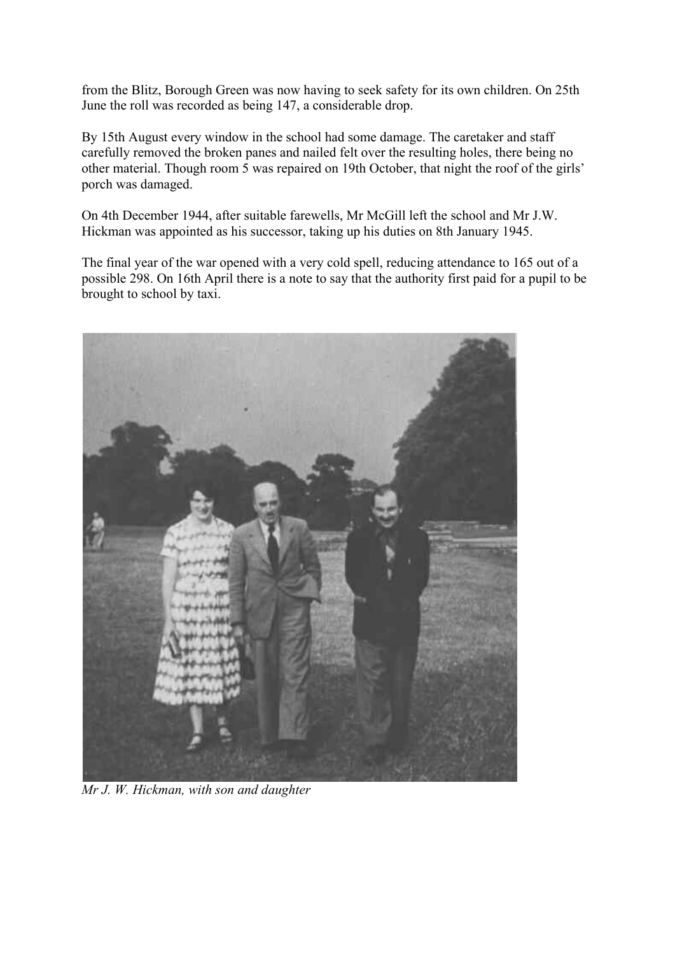from the Blitz, Borough Green was now having to seek safety for its own children. On 25th June the roll was recorded as being 147, a considerable drop.

By 15th August every window in the school had some damage. The caretaker and staff carefully removed the broken panes and nailed felt over the resulting holes, there being no other material. Though room 5 was repaired on 19th October, that night the roof of the girls' porch was damaged.

On 4th December 1944, after suitable farewells, Mr McGill left the school and Mr J.W. Hickman was appointed as his successor, taking up his duties on 8th January 1945.

The final year of the war opened with a very cold spell, reducing attendance to 165 out of a possible 298. On 16th April there is a note to say that the authority first paid for a pupil to be brought to school by taxi.



*Mr J. W. Hickman, with son and daughter*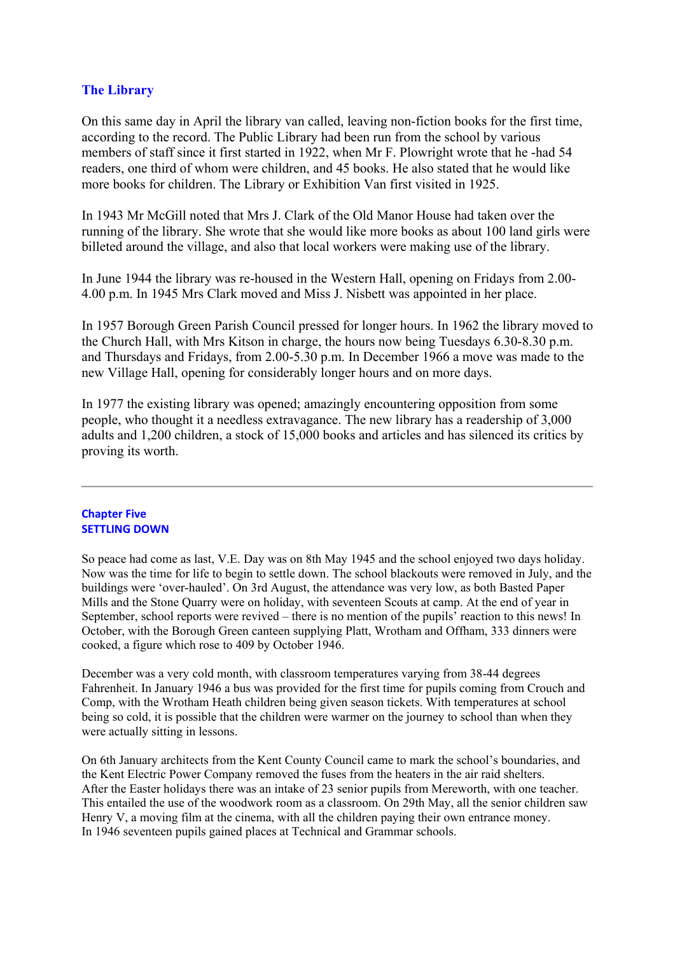# **The Library**

On this same day in April the library van called, leaving non-fiction books for the first time, according to the record. The Public Library had been run from the school by various members of staff since it first started in 1922, when Mr F. Plowright wrote that he -had 54 readers, one third of whom were children, and 45 books. He also stated that he would like more books for children. The Library or Exhibition Van first visited in 1925.

In 1943 Mr McGill noted that Mrs J. Clark of the Old Manor House had taken over the running of the library. She wrote that she would like more books as about 100 land girls were billeted around the village, and also that local workers were making use of the library.

In June 1944 the library was re-housed in the Western Hall, opening on Fridays from 2.00- 4.00 p.m. In 1945 Mrs Clark moved and Miss J. Nisbett was appointed in her place.

In 1957 Borough Green Parish Council pressed for longer hours. In 1962 the library moved to the Church Hall, with Mrs Kitson in charge, the hours now being Tuesdays 6.30-8.30 p.m. and Thursdays and Fridays, from 2.00-5.30 p.m. In December 1966 a move was made to the new Village Hall, opening for considerably longer hours and on more days.

In 1977 the existing library was opened; amazingly encountering opposition from some people, who thought it a needless extravagance. The new library has a readership of 3,000 adults and 1,200 children, a stock of 15,000 books and articles and has silenced its critics by proving its worth.

### **Chapter Five SETTLING DOWN**

So peace had come as last, V.E. Day was on 8th May 1945 and the school enjoyed two days holiday. Now was the time for life to begin to settle down. The school blackouts were removed in July, and the buildings were 'over-hauled'. On 3rd August, the attendance was very low, as both Basted Paper Mills and the Stone Quarry were on holiday, with seventeen Scouts at camp. At the end of year in September, school reports were revived – there is no mention of the pupils<sup> $\delta$ </sup> reaction to this news! In October, with the Borough Green canteen supplying Platt, Wrotham and Offham, 333 dinners were cooked, a figure which rose to 409 by October 1946.

December was a very cold month, with classroom temperatures varying from 38-44 degrees Fahrenheit. In January 1946 a bus was provided for the first time for pupils coming from Crouch and Comp, with the Wrotham Heath children being given season tickets. With temperatures at school being so cold, it is possible that the children were warmer on the journey to school than when they were actually sitting in lessons.

On 6th January architects from the Kent County Council came to mark the school's boundaries, and the Kent Electric Power Company removed the fuses from the heaters in the air raid shelters. After the Easter holidays there was an intake of 23 senior pupils from Mereworth, with one teacher. This entailed the use of the woodwork room as a classroom. On 29th May, all the senior children saw Henry V, a moving film at the cinema, with all the children paying their own entrance money. In 1946 seventeen pupils gained places at Technical and Grammar schools.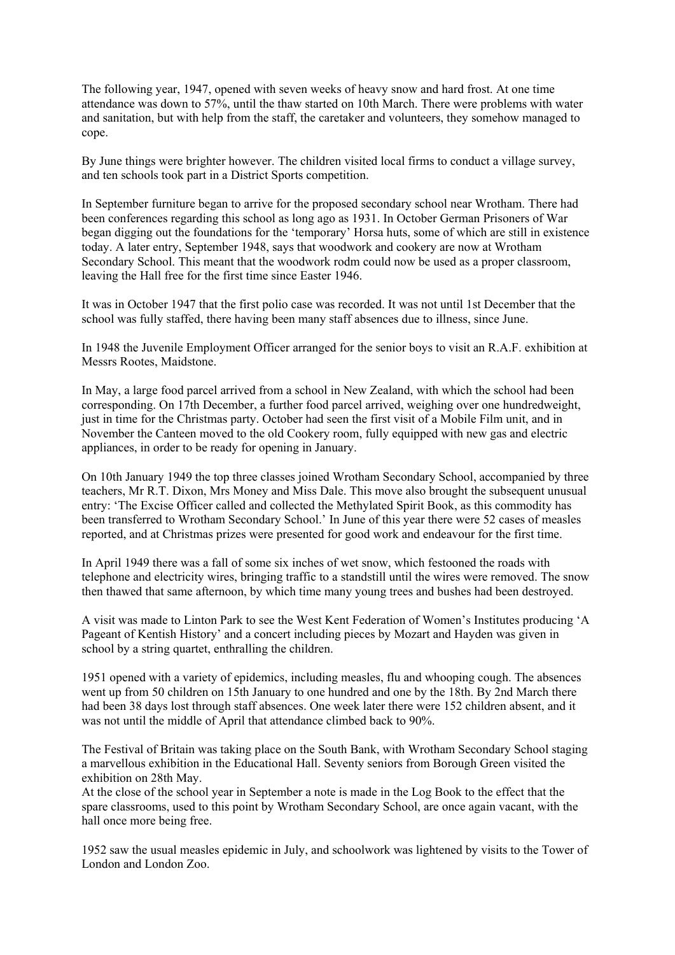The following year, 1947, opened with seven weeks of heavy snow and hard frost. At one time attendance was down to 57%, until the thaw started on 10th March. There were problems with water and sanitation, but with help from the staff, the caretaker and volunteers, they somehow managed to cope.

By June things were brighter however. The children visited local firms to conduct a village survey, and ten schools took part in a District Sports competition.

In September furniture began to arrive for the proposed secondary school near Wrotham. There had been conferences regarding this school as long ago as 1931. In October German Prisoners of War began digging out the foundations for the 'temporary' Horsa huts, some of which are still in existence today. A later entry, September 1948, says that woodwork and cookery are now at Wrotham Secondary School. This meant that the woodwork rodm could now be used as a proper classroom, leaving the Hall free for the first time since Easter 1946.

It was in October 1947 that the first polio case was recorded. It was not until 1st December that the school was fully staffed, there having been many staff absences due to illness, since June.

In 1948 the Juvenile Employment Officer arranged for the senior boys to visit an R.A.F. exhibition at Messrs Rootes, Maidstone.

In May, a large food parcel arrived from a school in New Zealand, with which the school had been corresponding. On 17th December, a further food parcel arrived, weighing over one hundredweight, just in time for the Christmas party. October had seen the first visit of a Mobile Film unit, and in November the Canteen moved to the old Cookery room, fully equipped with new gas and electric appliances, in order to be ready for opening in January.

On 10th January 1949 the top three classes joined Wrotham Secondary School, accompanied by three teachers, Mr R.T. Dixon, Mrs Money and Miss Dale. This move also brought the subsequent unusual entry: 'The Excise Officer called and collected the Methylated Spirit Book, as this commodity has been transferred to Wrotham Secondary School.' In June of this year there were 52 cases of measles reported, and at Christmas prizes were presented for good work and endeavour for the first time.

In April 1949 there was a fall of some six inches of wet snow, which festooned the roads with telephone and electricity wires, bringing traffic to a standstill until the wires were removed. The snow then thawed that same afternoon, by which time many young trees and bushes had been destroyed.

A visit was made to Linton Park to see the West Kent Federation of Women's Institutes producing 'A Pageant of Kentish History' and a concert including pieces by Mozart and Hayden was given in school by a string quartet, enthralling the children.

1951 opened with a variety of epidemics, including measles, flu and whooping cough. The absences went up from 50 children on 15th January to one hundred and one by the 18th. By 2nd March there had been 38 days lost through staff absences. One week later there were 152 children absent, and it was not until the middle of April that attendance climbed back to 90%.

The Festival of Britain was taking place on the South Bank, with Wrotham Secondary School staging a marvellous exhibition in the Educational Hall. Seventy seniors from Borough Green visited the exhibition on 28th May.

At the close of the school year in September a note is made in the Log Book to the effect that the spare classrooms, used to this point by Wrotham Secondary School, are once again vacant, with the hall once more being free.

1952 saw the usual measles epidemic in July, and schoolwork was lightened by visits to the Tower of London and London Zoo.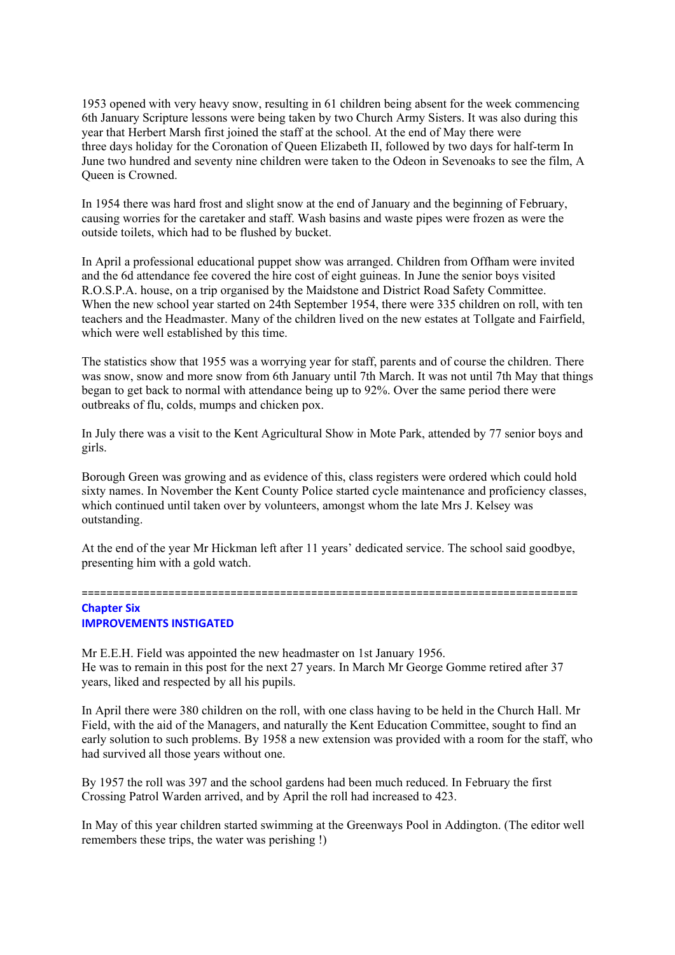1953 opened with very heavy snow, resulting in 61 children being absent for the week commencing 6th January Scripture lessons were being taken by two Church Army Sisters. It was also during this year that Herbert Marsh first joined the staff at the school. At the end of May there were three days holiday for the Coronation of Queen Elizabeth II, followed by two days for half-term In June two hundred and seventy nine children were taken to the Odeon in Sevenoaks to see the film, A Queen is Crowned.

In 1954 there was hard frost and slight snow at the end of January and the beginning of February, causing worries for the caretaker and staff. Wash basins and waste pipes were frozen as were the outside toilets, which had to be flushed by bucket.

In April a professional educational puppet show was arranged. Children from Offham were invited and the 6d attendance fee covered the hire cost of eight guineas. In June the senior boys visited R.O.S.P.A. house, on a trip organised by the Maidstone and District Road Safety Committee. When the new school year started on 24th September 1954, there were 335 children on roll, with ten teachers and the Headmaster. Many of the children lived on the new estates at Tollgate and Fairfield, which were well established by this time.

The statistics show that 1955 was a worrying year for staff, parents and of course the children. There was snow, snow and more snow from 6th January until 7th March. It was not until 7th May that things began to get back to normal with attendance being up to 92%. Over the same period there were outbreaks of flu, colds, mumps and chicken pox.

In July there was a visit to the Kent Agricultural Show in Mote Park, attended by 77 senior boys and girls.

Borough Green was growing and as evidence of this, class registers were ordered which could hold sixty names. In November the Kent County Police started cycle maintenance and proficiency classes, which continued until taken over by volunteers, amongst whom the late Mrs J. Kelsey was outstanding.

At the end of the year Mr Hickman left after 11 years' dedicated service. The school said goodbye, presenting him with a gold watch.

================================================================================

## **Chapter Six IMPROVEMENTS INSTIGATED**

Mr E.E.H. Field was appointed the new headmaster on 1st January 1956. He was to remain in this post for the next 27 years. In March Mr George Gomme retired after 37 years, liked and respected by all his pupils.

In April there were 380 children on the roll, with one class having to be held in the Church Hall. Mr Field, with the aid of the Managers, and naturally the Kent Education Committee, sought to find an early solution to such problems. By 1958 a new extension was provided with a room for the staff, who had survived all those years without one.

By 1957 the roll was 397 and the school gardens had been much reduced. In February the first Crossing Patrol Warden arrived, and by April the roll had increased to 423.

In May of this year children started swimming at the Greenways Pool in Addington. (The editor well remembers these trips, the water was perishing !)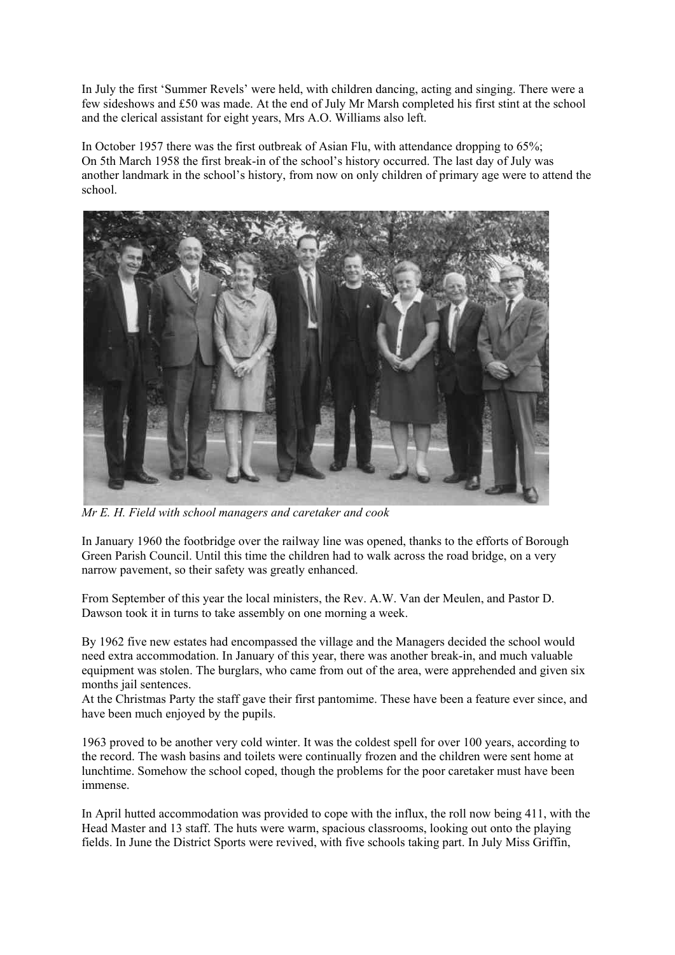In July the first 'Summer Revels' were held, with children dancing, acting and singing. There were a few sideshows and £50 was made. At the end of July Mr Marsh completed his first stint at the school and the clerical assistant for eight years, Mrs A.O. Williams also left.

In October 1957 there was the first outbreak of Asian Flu, with attendance dropping to 65%; On 5th March 1958 the first break-in of the school's history occurred. The last day of July was another landmark in the school's history, from now on only children of primary age were to attend the school.



*Mr E. H. Field with school managers and caretaker and cook*

In January 1960 the footbridge over the railway line was opened, thanks to the efforts of Borough Green Parish Council. Until this time the children had to walk across the road bridge, on a very narrow pavement, so their safety was greatly enhanced.

From September of this year the local ministers, the Rev. A.W. Van der Meulen, and Pastor D. Dawson took it in turns to take assembly on one morning a week.

By 1962 five new estates had encompassed the village and the Managers decided the school would need extra accommodation. In January of this year, there was another break-in, and much valuable equipment was stolen. The burglars, who came from out of the area, were apprehended and given six months jail sentences.

At the Christmas Party the staff gave their first pantomime. These have been a feature ever since, and have been much enjoyed by the pupils.

1963 proved to be another very cold winter. It was the coldest spell for over 100 years, according to the record. The wash basins and toilets were continually frozen and the children were sent home at lunchtime. Somehow the school coped, though the problems for the poor caretaker must have been immense.

In April hutted accommodation was provided to cope with the influx, the roll now being 411, with the Head Master and 13 staff. The huts were warm, spacious classrooms, looking out onto the playing fields. In June the District Sports were revived, with five schools taking part. In July Miss Griffin,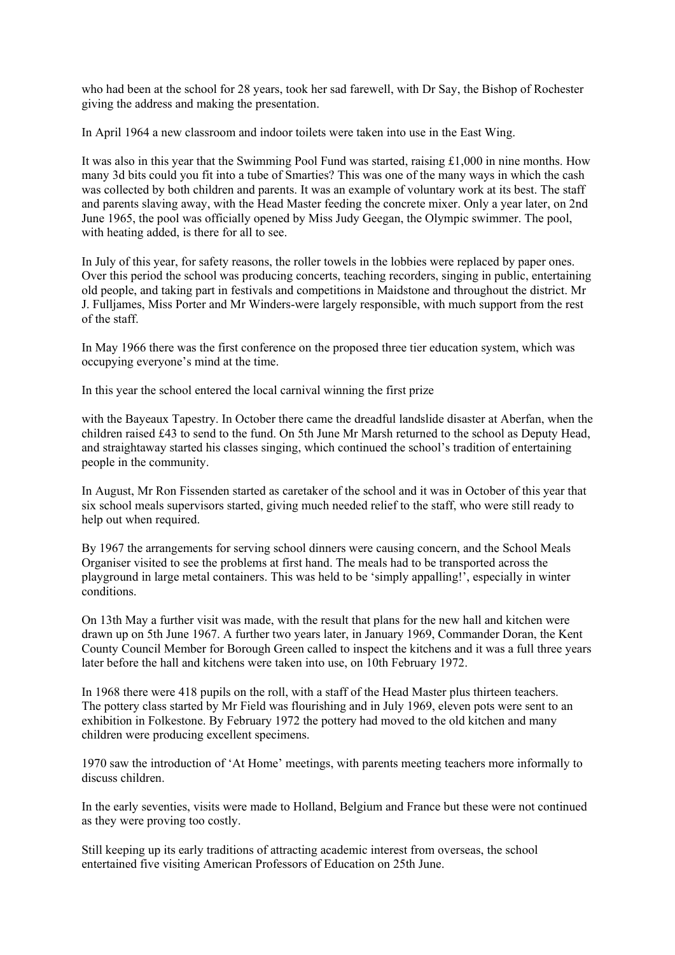who had been at the school for 28 years, took her sad farewell, with Dr Say, the Bishop of Rochester giving the address and making the presentation.

In April 1964 a new classroom and indoor toilets were taken into use in the East Wing.

It was also in this year that the Swimming Pool Fund was started, raising £1,000 in nine months. How many 3d bits could you fit into a tube of Smarties? This was one of the many ways in which the cash was collected by both children and parents. It was an example of voluntary work at its best. The staff and parents slaving away, with the Head Master feeding the concrete mixer. Only a year later, on 2nd June 1965, the pool was officially opened by Miss Judy Geegan, the Olympic swimmer. The pool, with heating added, is there for all to see.

In July of this year, for safety reasons, the roller towels in the lobbies were replaced by paper ones. Over this period the school was producing concerts, teaching recorders, singing in public, entertaining old people, and taking part in festivals and competitions in Maidstone and throughout the district. Mr J. Fulljames, Miss Porter and Mr Winders-were largely responsible, with much support from the rest of the staff.

In May 1966 there was the first conference on the proposed three tier education system, which was occupying everyone's mind at the time.

In this year the school entered the local carnival winning the first prize

with the Bayeaux Tapestry. In October there came the dreadful landslide disaster at Aberfan, when the children raised £43 to send to the fund. On 5th June Mr Marsh returned to the school as Deputy Head, and straightaway started his classes singing, which continued the school's tradition of entertaining people in the community.

In August, Mr Ron Fissenden started as caretaker of the school and it was in October of this year that six school meals supervisors started, giving much needed relief to the staff, who were still ready to help out when required.

By 1967 the arrangements for serving school dinners were causing concern, and the School Meals Organiser visited to see the problems at first hand. The meals had to be transported across the playground in large metal containers. This was held to be 'simply appalling!', especially in winter conditions.

On 13th May a further visit was made, with the result that plans for the new hall and kitchen were drawn up on 5th June 1967. A further two years later, in January 1969, Commander Doran, the Kent County Council Member for Borough Green called to inspect the kitchens and it was a full three years later before the hall and kitchens were taken into use, on 10th February 1972.

In 1968 there were 418 pupils on the roll, with a staff of the Head Master plus thirteen teachers. The pottery class started by Mr Field was flourishing and in July 1969, eleven pots were sent to an exhibition in Folkestone. By February 1972 the pottery had moved to the old kitchen and many children were producing excellent specimens.

1970 saw the introduction of 'At Home' meetings, with parents meeting teachers more informally to discuss children.

In the early seventies, visits were made to Holland, Belgium and France but these were not continued as they were proving too costly.

Still keeping up its early traditions of attracting academic interest from overseas, the school entertained five visiting American Professors of Education on 25th June.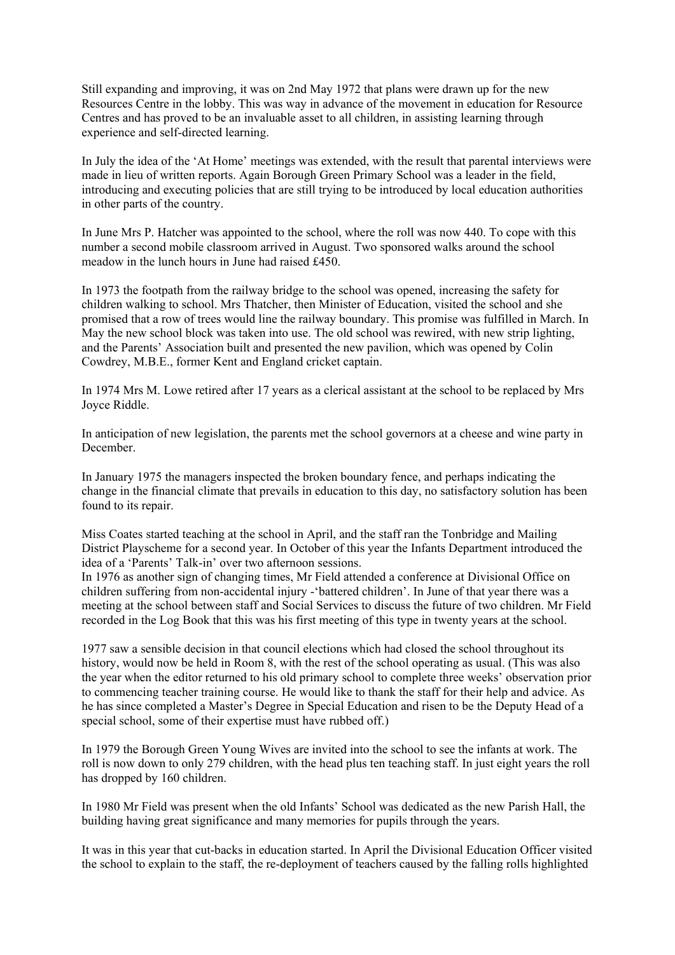Still expanding and improving, it was on 2nd May 1972 that plans were drawn up for the new Resources Centre in the lobby. This was way in advance of the movement in education for Resource Centres and has proved to be an invaluable asset to all children, in assisting learning through experience and self-directed learning.

In July the idea of the 'At Home' meetings was extended, with the result that parental interviews were made in lieu of written reports. Again Borough Green Primary School was a leader in the field, introducing and executing policies that are still trying to be introduced by local education authorities in other parts of the country.

In June Mrs P. Hatcher was appointed to the school, where the roll was now 440. To cope with this number a second mobile classroom arrived in August. Two sponsored walks around the school meadow in the lunch hours in June had raised £450.

In 1973 the footpath from the railway bridge to the school was opened, increasing the safety for children walking to school. Mrs Thatcher, then Minister of Education, visited the school and she promised that a row of trees would line the railway boundary. This promise was fulfilled in March. In May the new school block was taken into use. The old school was rewired, with new strip lighting, and the Parents' Association built and presented the new pavilion, which was opened by Colin Cowdrey, M.B.E., former Kent and England cricket captain.

In 1974 Mrs M. Lowe retired after 17 years as a clerical assistant at the school to be replaced by Mrs Joyce Riddle.

In anticipation of new legislation, the parents met the school governors at a cheese and wine party in December.

In January 1975 the managers inspected the broken boundary fence, and perhaps indicating the change in the financial climate that prevails in education to this day, no satisfactory solution has been found to its repair.

Miss Coates started teaching at the school in April, and the staff ran the Tonbridge and Mailing District Playscheme for a second year. In October of this year the Infants Department introduced the idea of a 'Parents' Talk-in' over two afternoon sessions.

In 1976 as another sign of changing times, Mr Field attended a conference at Divisional Office on children suffering from non-accidental injury -'battered children'. In June of that year there was a meeting at the school between staff and Social Services to discuss the future of two children. Mr Field recorded in the Log Book that this was his first meeting of this type in twenty years at the school.

1977 saw a sensible decision in that council elections which had closed the school throughout its history, would now be held in Room 8, with the rest of the school operating as usual. (This was also the year when the editor returned to his old primary school to complete three weeks' observation prior to commencing teacher training course. He would like to thank the staff for their help and advice. As he has since completed a Master's Degree in Special Education and risen to be the Deputy Head of a special school, some of their expertise must have rubbed off.)

In 1979 the Borough Green Young Wives are invited into the school to see the infants at work. The roll is now down to only 279 children, with the head plus ten teaching staff. In just eight years the roll has dropped by 160 children.

In 1980 Mr Field was present when the old Infants' School was dedicated as the new Parish Hall, the building having great significance and many memories for pupils through the years.

It was in this year that cut-backs in education started. In April the Divisional Education Officer visited the school to explain to the staff, the re-deployment of teachers caused by the falling rolls highlighted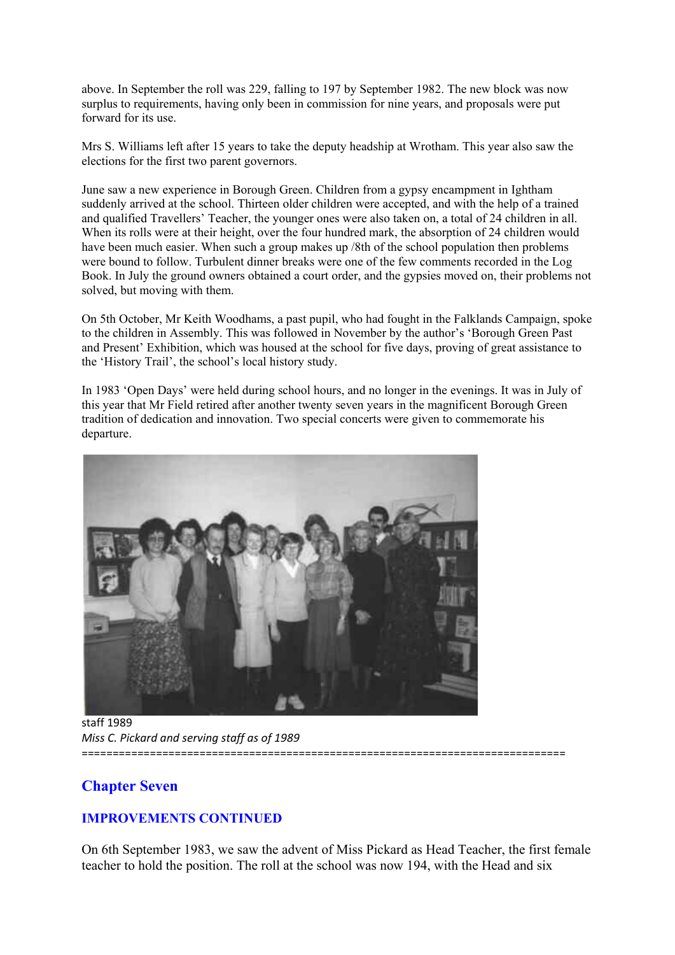above. In September the roll was 229, falling to 197 by September 1982. The new block was now surplus to requirements, having only been in commission for nine years, and proposals were put forward for its use.

Mrs S. Williams left after 15 years to take the deputy headship at Wrotham. This year also saw the elections for the first two parent governors.

June saw a new experience in Borough Green. Children from a gypsy encampment in Ightham suddenly arrived at the school. Thirteen older children were accepted, and with the help of a trained and qualified Travellers' Teacher, the younger ones were also taken on, a total of 24 children in all. When its rolls were at their height, over the four hundred mark, the absorption of 24 children would have been much easier. When such a group makes up /8th of the school population then problems were bound to follow. Turbulent dinner breaks were one of the few comments recorded in the Log Book. In July the ground owners obtained a court order, and the gypsies moved on, their problems not solved, but moving with them.

On 5th October, Mr Keith Woodhams, a past pupil, who had fought in the Falklands Campaign, spoke to the children in Assembly. This was followed in November by the author's 'Borough Green Past and Present' Exhibition, which was housed at the school for five days, proving of great assistance to the 'History Trail', the school's local history study.

In 1983 'Open Days' were held during school hours, and no longer in the evenings. It was in July of this year that Mr Field retired after another twenty seven years in the magnificent Borough Green tradition of dedication and innovation. Two special concerts were given to commemorate his departure.



staff 1989 *Miss C. Pickard and serving staff as of 1989* ==============================================================================

# **Chapter Seven**

# **IMPROVEMENTS CONTINUED**

On 6th September 1983, we saw the advent of Miss Pickard as Head Teacher, the first female teacher to hold the position. The roll at the school was now 194, with the Head and six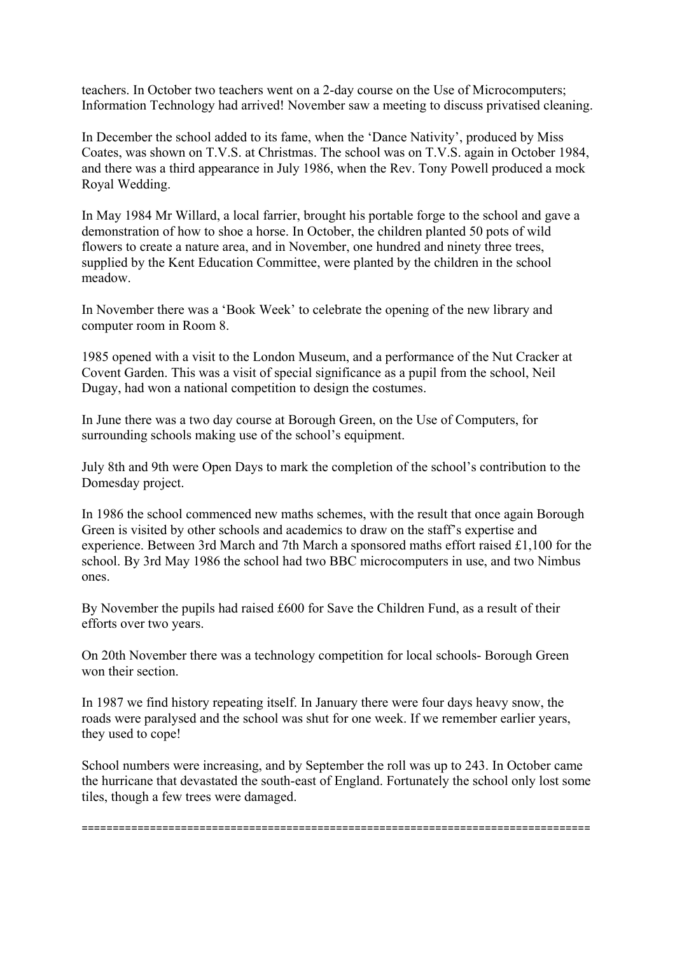teachers. In October two teachers went on a 2-day course on the Use of Microcomputers; Information Technology had arrived! November saw a meeting to discuss privatised cleaning.

In December the school added to its fame, when the 'Dance Nativity', produced by Miss Coates, was shown on T.V.S. at Christmas. The school was on T.V.S. again in October 1984, and there was a third appearance in July 1986, when the Rev. Tony Powell produced a mock Royal Wedding.

In May 1984 Mr Willard, a local farrier, brought his portable forge to the school and gave a demonstration of how to shoe a horse. In October, the children planted 50 pots of wild flowers to create a nature area, and in November, one hundred and ninety three trees, supplied by the Kent Education Committee, were planted by the children in the school meadow.

In November there was a 'Book Week' to celebrate the opening of the new library and computer room in Room 8.

1985 opened with a visit to the London Museum, and a performance of the Nut Cracker at Covent Garden. This was a visit of special significance as a pupil from the school, Neil Dugay, had won a national competition to design the costumes.

In June there was a two day course at Borough Green, on the Use of Computers, for surrounding schools making use of the school's equipment.

July 8th and 9th were Open Days to mark the completion of the school's contribution to the Domesday project.

In 1986 the school commenced new maths schemes, with the result that once again Borough Green is visited by other schools and academics to draw on the staff's expertise and experience. Between 3rd March and 7th March a sponsored maths effort raised £1,100 for the school. By 3rd May 1986 the school had two BBC microcomputers in use, and two Nimbus ones.

By November the pupils had raised £600 for Save the Children Fund, as a result of their efforts over two years.

On 20th November there was a technology competition for local schools- Borough Green won their section.

In 1987 we find history repeating itself. In January there were four days heavy snow, the roads were paralysed and the school was shut for one week. If we remember earlier years, they used to cope!

School numbers were increasing, and by September the roll was up to 243. In October came the hurricane that devastated the south-east of England. Fortunately the school only lost some tiles, though a few trees were damaged.

==================================================================================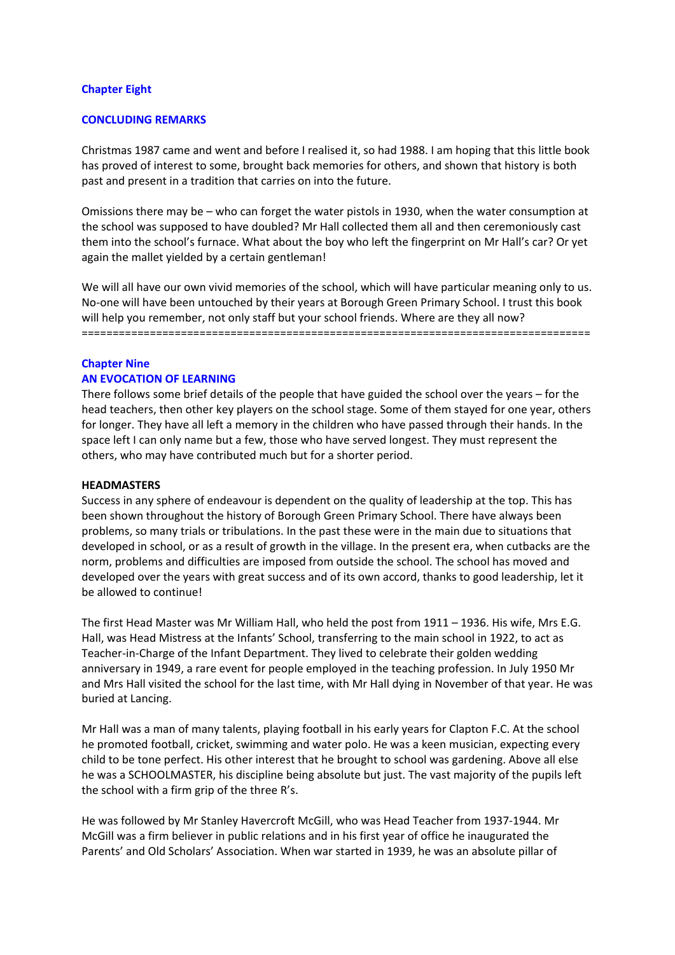#### **Chapter Eight**

#### **CONCLUDING REMARKS**

Christmas 1987 came and went and before I realised it, so had 1988. I am hoping that this little book has proved of interest to some, brought back memories for others, and shown that history is both past and present in a tradition that carries on into the future.

Omissions there may be – who can forget the water pistols in 1930, when the water consumption at the school was supposed to have doubled? Mr Hall collected them all and then ceremoniously cast them into the school's furnace. What about the boy who left the fingerprint on Mr Hall's car? Or yet again the mallet yielded by a certain gentleman!

We will all have our own vivid memories of the school, which will have particular meaning only to us. No-one will have been untouched by their years at Borough Green Primary School. I trust this book will help you remember, not only staff but your school friends. Where are they all now? ==================================================================================

## **Chapter Nine AN EVOCATION OF LEARNING**

There follows some brief details of the people that have guided the school over the years – for the head teachers, then other key players on the school stage. Some of them stayed for one year, others for longer. They have all left a memory in the children who have passed through their hands. In the space left I can only name but a few, those who have served longest. They must represent the others, who may have contributed much but for a shorter period.

#### **HEADMASTERS**

Success in any sphere of endeavour is dependent on the quality of leadership at the top. This has been shown throughout the history of Borough Green Primary School. There have always been problems, so many trials or tribulations. In the past these were in the main due to situations that developed in school, or as a result of growth in the village. In the present era, when cutbacks are the norm, problems and difficulties are imposed from outside the school. The school has moved and developed over the years with great success and of its own accord, thanks to good leadership, let it be allowed to continue!

The first Head Master was Mr William Hall, who held the post from 1911 – 1936. His wife, Mrs E.G. Hall, was Head Mistress at the Infants' School, transferring to the main school in 1922, to act as Teacher-in-Charge of the Infant Department. They lived to celebrate their golden wedding anniversary in 1949, a rare event for people employed in the teaching profession. In July 1950 Mr and Mrs Hall visited the school for the last time, with Mr Hall dying in November of that year. He was buried at Lancing.

Mr Hall was a man of many talents, playing football in his early years for Clapton F.C. At the school he promoted football, cricket, swimming and water polo. He was a keen musician, expecting every child to be tone perfect. His other interest that he brought to school was gardening. Above all else he was a SCHOOLMASTER, his discipline being absolute but just. The vast majority of the pupils left the school with a firm grip of the three R's.

He was followed by Mr Stanley Havercroft McGill, who was Head Teacher from 1937-1944. Mr McGill was a firm believer in public relations and in his first year of office he inaugurated the Parents' and Old Scholars' Association. When war started in 1939, he was an absolute pillar of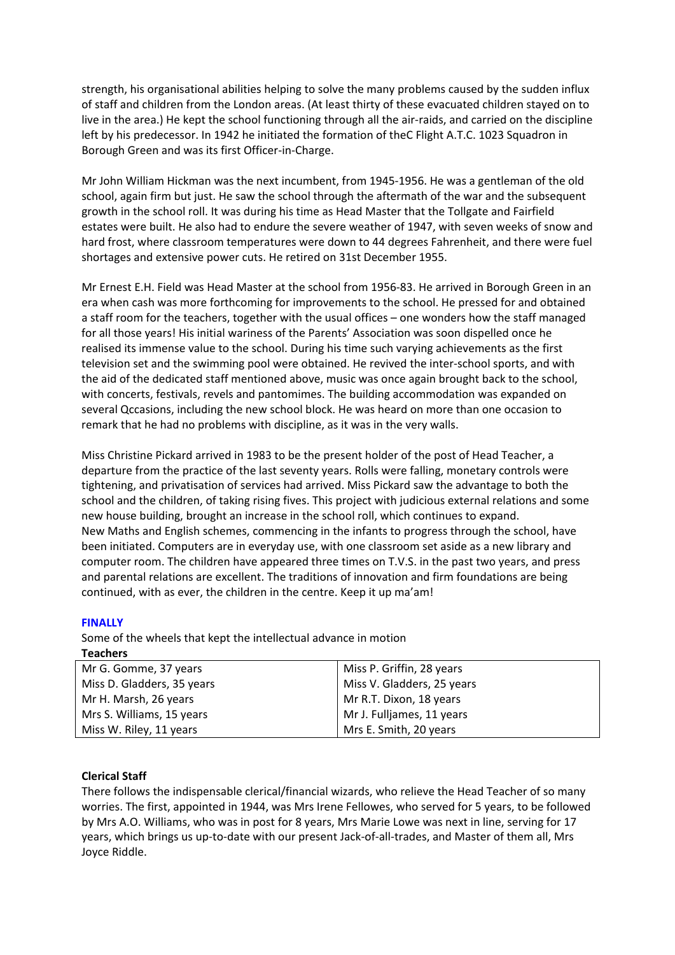strength, his organisational abilities helping to solve the many problems caused by the sudden influx of staff and children from the London areas. (At least thirty of these evacuated children stayed on to live in the area.) He kept the school functioning through all the air-raids, and carried on the discipline left by his predecessor. In 1942 he initiated the formation of theC Flight A.T.C. 1023 Squadron in Borough Green and was its first Officer-in-Charge.

Mr John William Hickman was the next incumbent, from 1945-1956. He was a gentleman of the old school, again firm but just. He saw the school through the aftermath of the war and the subsequent growth in the school roll. It was during his time as Head Master that the Tollgate and Fairfield estates were built. He also had to endure the severe weather of 1947, with seven weeks of snow and hard frost, where classroom temperatures were down to 44 degrees Fahrenheit, and there were fuel shortages and extensive power cuts. He retired on 31st December 1955.

Mr Ernest E.H. Field was Head Master at the school from 1956-83. He arrived in Borough Green in an era when cash was more forthcoming for improvements to the school. He pressed for and obtained a staff room for the teachers, together with the usual offices – one wonders how the staff managed for all those years! His initial wariness of the Parents' Association was soon dispelled once he realised its immense value to the school. During his time such varying achievements as the first television set and the swimming pool were obtained. He revived the inter-school sports, and with the aid of the dedicated staff mentioned above, music was once again brought back to the school, with concerts, festivals, revels and pantomimes. The building accommodation was expanded on several Qccasions, including the new school block. He was heard on more than one occasion to remark that he had no problems with discipline, as it was in the very walls.

Miss Christine Pickard arrived in 1983 to be the present holder of the post of Head Teacher, a departure from the practice of the last seventy years. Rolls were falling, monetary controls were tightening, and privatisation of services had arrived. Miss Pickard saw the advantage to both the school and the children, of taking rising fives. This project with judicious external relations and some new house building, brought an increase in the school roll, which continues to expand. New Maths and English schemes, commencing in the infants to progress through the school, have been initiated. Computers are in everyday use, with one classroom set aside as a new library and computer room. The children have appeared three times on T.V.S. in the past two years, and press and parental relations are excellent. The traditions of innovation and firm foundations are being continued, with as ever, the children in the centre. Keep it up ma'am!

### **FINALLY**

Some of the wheels that kept the intellectual advance in motion **Teachers**

| Mr G. Gomme, 37 years      | Miss P. Griffin, 28 years  |
|----------------------------|----------------------------|
| Miss D. Gladders, 35 years | Miss V. Gladders, 25 years |
| Mr H. Marsh, 26 years      | Mr R.T. Dixon, 18 years    |
| Mrs S. Williams, 15 years  | Mr J. Fulljames, 11 years  |
| Miss W. Riley, 11 years    | Mrs E. Smith, 20 years     |

### **Clerical Staff**

There follows the indispensable clerical/financial wizards, who relieve the Head Teacher of so many worries. The first, appointed in 1944, was Mrs Irene Fellowes, who served for 5 years, to be followed by Mrs A.O. Williams, who was in post for 8 years, Mrs Marie Lowe was next in line, serving for 17 years, which brings us up-to-date with our present Jack-of-all-trades, and Master of them all, Mrs Joyce Riddle.